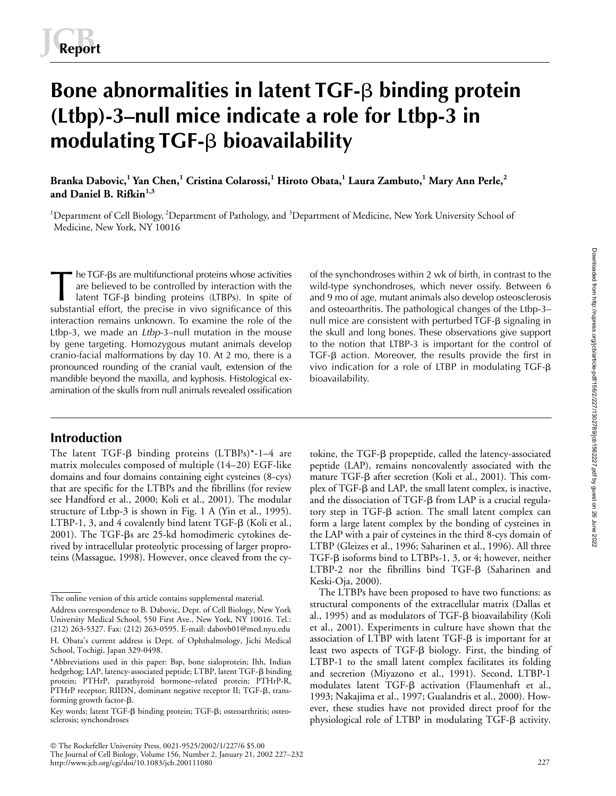# Bone abnormalities in latent TGF- $\beta$  binding protein **(Ltbp)-3–null mice indicate a role for Ltbp-3 in**  modulating TGF-**ß** bioavailability

**Branka Dabovic,1 Yan Chen,1 Cristina Colarossi,<sup>1</sup> Hiroto Obata,<sup>1</sup> Laura Zambuto,<sup>1</sup> Mary Ann Perle,<sup>2</sup> and Daniel B. Rifkin1,3**

<sup>1</sup>Department of Cell Biology, <sup>2</sup>Department of Pathology, and <sup>3</sup>Department of Medicine, New York University School of Medicine, New York, NY 10016

he TGF-βs are multifunctional proteins whose activities are believed to be controlled by interaction with the latent TGF-β binding proteins (LTBPs). In spite of substantial effort, the precise in vivo significance of this interaction remains unknown. To examine the role of the Ltbp-3, we made an *Ltbp*-3–null mutation in the mouse by gene targeting. Homozygous mutant animals develop cranio-facial malformations by day 10. At 2 mo, there is a pronounced rounding of the cranial vault, extension of the mandible beyond the maxilla, and kyphosis. Histological examination of the skulls from null animals revealed ossification The TGF-βs are multifunctional proteins whose activities of the synchondroses within 2 wk of birth, in contrast to the are believed to be controlled by interaction with the wild-type synchondroses, which never ossify. Bet

# **Introduction**

The latent TGF- $\beta$  binding proteins (LTBPs)\*-1-4 are matrix molecules composed of multiple (14–20) EGF-like domains and four domains containing eight cysteines (8-cys) that are specific for the LTBPs and the fibrillins (for review see Handford et al., 2000; Koli et al., 2001). The modular structure of Ltbp-3 is shown in Fig. 1 A (Yin et al., 1995).  $LTBP-1$ , 3, and 4 covalently bind latent  $TGF-\beta$  (Koli et al., 2001). The TGF-ßs are 25-kd homodimeric cytokines derived by intracellular proteolytic processing of larger proproteins (Massague, 1998). However, once cleaved from the cywild-type synchondroses, which never ossify. Between 6 and osteoarthritis. The pathological changes of the Ltbp-3– null mice are consistent with perturbed  $TGF- $\beta$  signaling in$ the skull and long bones. These observations give support to the notion that LTBP-3 is important for the control of  $TGF-\beta$  action. Moreover, the results provide the first in vivo indication for a role of LTBP in modulating TGF- $\beta$ bioavailability.

tokine, the TGF-ß propeptide, called the latency-associated peptide (LAP), remains noncovalently associated with the mature TGF- $\beta$  after secretion (Koli et al., 2001). This complex of TGF- $\beta$  and LAP, the small latent complex, is inactive, and the dissociation of  $TGF- $\beta$  from LAP is a crucial regular$ tory step in TGF- $\beta$  action. The small latent complex can form a large latent complex by the bonding of cysteines in the LAP with a pair of cysteines in the third 8-cys domain of LTBP (Gleizes et al., 1996; Saharinen et al., 1996). All three TGF-β isoforms bind to LTBPs-1, 3, or 4; however, neither LTBP-2 nor the fibrillins bind TGF-B (Saharinen and Keski-Oja, 2000).

The LTBPs have been proposed to have two functions: as structural components of the extracellular matrix (Dallas et al., 1995) and as modulators of TGF-β bioavailability (Koli et al., 2001). Experiments in culture have shown that the association of LTBP with latent TGF- $\beta$  is important for at least two aspects of TGF- $\beta$  biology. First, the binding of LTBP-1 to the small latent complex facilitates its folding and secretion (Miyazono et al., 1991). Second, LTBP-1 modulates latent TGF- $\beta$  activation (Flaumenhaft et al., 1993; Nakajima et al., 1997; Gualandris et al., 2000). However, these studies have not provided direct proof for the physiological role of LTBP in modulating TGF- $\beta$  activity.

http://www.jcb.org/cgi/doi/10.1083/jcb.200111080

The online version of this article contains supplemental material.

Address correspondence to B. Dabovic, Dept. of Cell Biology, New York University Medical School, 550 First Ave., New York, NY 10016. Tel.: (212) 263-5327. Fax: (212) 263-0595. E-mail: dabovb01@med.nyu.edu H. Obata's current address is Dept. of Ophthalmology, Jichi Medical School, Tochigi, Japan 329-0498.

<sup>\*</sup>Abbreviations used in this paper: Bsp, bone sialoprotein; Ihh, Indian hedgehog; LAP, latency-associated peptide; LTBP, latent TGF-β binding protein; PTHrP, parathyroid hormone–related protein; PTHrP-R, PTHrP receptor; RIIDN, dominant negative receptor II; TGF-ß, transforming growth factor- $\beta$ .

Key words: latent TGF-ß binding protein; TGF-ß; osteoarthritis; osteosclerosis; synchondroses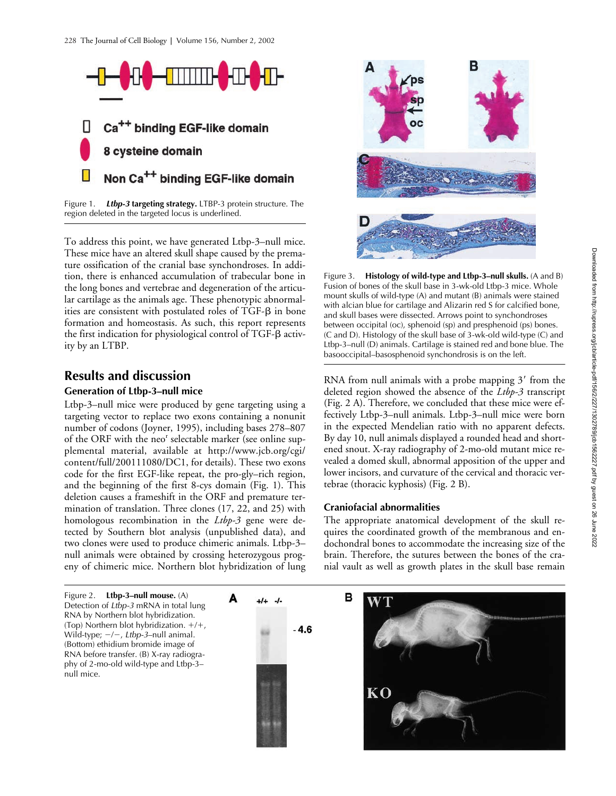

Figure 1. *Ltbp-3* **targeting strategy.** LTBP-3 protein structure. The region deleted in the targeted locus is underlined.

To address this point, we have generated Ltbp-3–null mice. These mice have an altered skull shape caused by the premature ossification of the cranial base synchondroses. In addition, there is enhanced accumulation of trabecular bone in the long bones and vertebrae and degeneration of the articular cartilage as the animals age. These phenotypic abnormalities are consistent with postulated roles of TGF- $\beta$  in bone formation and homeostasis. As such, this report represents the first indication for physiological control of TGF-ß activity by an LTBP.

# **Results and discussion**

## **Generation of Ltbp-3–null mice**

Ltbp-3–null mice were produced by gene targeting using a targeting vector to replace two exons containing a nonunit number of codons (Joyner, 1995), including bases 278–807 of the ORF with the neo<sup>r</sup> selectable marker (see online supplemental material, available at http://www.jcb.org/cgi/ content/full/200111080/DC1, for details). These two exons code for the first EGF-like repeat, the pro-gly–rich region, and the beginning of the first 8-cys domain (Fig. 1). This deletion causes a frameshift in the ORF and premature termination of translation. Three clones (17, 22, and 25) with homologous recombination in the *Ltbp-3* gene were detected by Southern blot analysis (unpublished data), and two clones were used to produce chimeric animals. Ltbp-3– null animals were obtained by crossing heterozygous progeny of chimeric mice. Northern blot hybridization of lung

Figure 2. **Ltbp-3–null mouse.** (A) Detection of *Ltbp-3* mRNA in total lung RNA by Northern blot hybridization. (Top) Northern blot hybridization.  $+/+$ , Wild-type;  $-/-$ , Ltbp-3-null animal. (Bottom) ethidium bromide image of RNA before transfer. (B) X-ray radiography of 2-mo-old wild-type and Ltbp-3– null mice.



А



Figure 3. **Histology of wild-type and Ltbp-3–null skulls.** (A and B) Fusion of bones of the skull base in 3-wk-old Ltbp-3 mice. Whole mount skulls of wild-type (A) and mutant (B) animals were stained with alcian blue for cartilage and Alizarin red S for calcified bone, and skull bases were dissected. Arrows point to synchondroses between occipital (oc), sphenoid (sp) and presphenoid (ps) bones. (C and D). Histology of the skull base of 3-wk-old wild-type (C) and Ltbp-3–null (D) animals. Cartilage is stained red and bone blue. The basooccipital–basosphenoid synchondrosis is on the left.

RNA from null animals with a probe mapping  $3'$  from the deleted region showed the absence of the *Ltbp-3* transcript (Fig. 2 A). Therefore, we concluded that these mice were effectively Ltbp-3–null animals. Ltbp-3–null mice were born in the expected Mendelian ratio with no apparent defects. By day 10, null animals displayed a rounded head and shortened snout. X-ray radiography of 2-mo-old mutant mice revealed a domed skull, abnormal apposition of the upper and lower incisors, and curvature of the cervical and thoracic vertebrae (thoracic kyphosis) (Fig. 2 B).

## **Craniofacial abnormalities**

The appropriate anatomical development of the skull requires the coordinated growth of the membranous and endochondral bones to accommodate the increasing size of the brain. Therefore, the sutures between the bones of the cranial vault as well as growth plates in the skull base remain

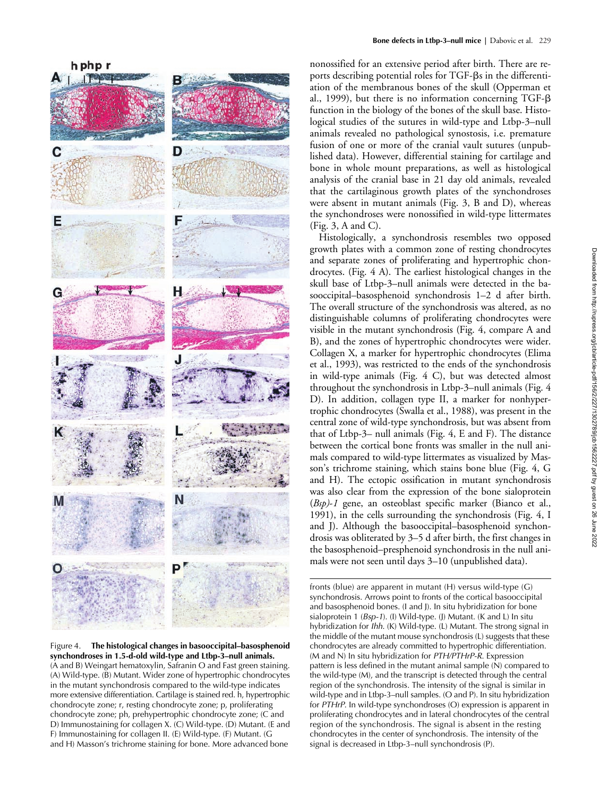

Figure 4. **The histological changes in basooccipital–basosphenoid synchondroses in 1.5-d-old wild-type and Ltbp-3–null animals.**  (A and B) Weingart hematoxylin, Safranin O and Fast green staining. (A) Wild-type. (B) Mutant. Wider zone of hypertrophic chondrocytes in the mutant synchondrosis compared to the wild-type indicates more extensive differentiation. Cartilage is stained red. h, hypertrophic chondrocyte zone; r, resting chondrocyte zone; p, proliferating chondrocyte zone; ph, prehypertrophic chondrocyte zone; (C and D) Immunostaining for collagen X. (C) Wild-type. (D) Mutant. (E and F) Immunostaining for collagen II. (E) Wild-type. (F) Mutant. (G and H) Masson's trichrome staining for bone. More advanced bone

nonossified for an extensive period after birth. There are reports describing potential roles for TGF- $\beta$ s in the differentiation of the membranous bones of the skull (Opperman et al., 1999), but there is no information concerning TGF- $\beta$ function in the biology of the bones of the skull base. Histological studies of the sutures in wild-type and Ltbp-3–null animals revealed no pathological synostosis, i.e. premature fusion of one or more of the cranial vault sutures (unpublished data). However, differential staining for cartilage and bone in whole mount preparations, as well as histological analysis of the cranial base in 21 day old animals, revealed that the cartilaginous growth plates of the synchondroses were absent in mutant animals (Fig. 3, B and D), whereas the synchondroses were nonossified in wild-type littermates (Fig. 3, A and C).

Histologically, a synchondrosis resembles two opposed growth plates with a common zone of resting chondrocytes and separate zones of proliferating and hypertrophic chondrocytes. (Fig. 4 A). The earliest histological changes in the skull base of Ltbp-3–null animals were detected in the basooccipital–basosphenoid synchondrosis 1–2 d after birth. The overall structure of the synchondrosis was altered, as no distinguishable columns of proliferating chondrocytes were visible in the mutant synchondrosis (Fig. 4, compare A and B), and the zones of hypertrophic chondrocytes were wider. Collagen X, a marker for hypertrophic chondrocytes (Elima et al., 1993), was restricted to the ends of the synchondrosis in wild-type animals (Fig. 4 C), but was detected almost throughout the synchondrosis in Ltbp-3–null animals (Fig. 4 D). In addition, collagen type II, a marker for nonhypertrophic chondrocytes (Swalla et al., 1988), was present in the central zone of wild-type synchondrosis, but was absent from that of Ltbp-3– null animals (Fig. 4, E and F). The distance between the cortical bone fronts was smaller in the null animals compared to wild-type littermates as visualized by Masson's trichrome staining, which stains bone blue (Fig. 4, G and H). The ectopic ossification in mutant synchondrosis was also clear from the expression of the bone sialoprotein (*Bsp)*-*1* gene, an osteoblast specific marker (Bianco et al., 1991), in the cells surrounding the synchondrosis (Fig. 4, I and J). Although the basooccipital–basosphenoid synchondrosis was obliterated by 3–5 d after birth, the first changes in the basosphenoid–presphenoid synchondrosis in the null animals were not seen until days 3–10 (unpublished data).

fronts (blue) are apparent in mutant (H) versus wild-type (G) synchondrosis. Arrows point to fronts of the cortical basooccipital and basosphenoid bones. (I and J). In situ hybridization for bone sialoprotein 1 (*Bsp-1*). (I) Wild-type. (J) Mutant. (K and L) In situ hybridization for *Ihh*. (K) Wild-type. (L) Mutant. The strong signal in the middle of the mutant mouse synchondrosis (L) suggests that these chondrocytes are already committed to hypertrophic differentiation. (M and N) In situ hybridization for *PTH/PTHrP-R*. Expression pattern is less defined in the mutant animal sample (N) compared to the wild-type (M), and the transcript is detected through the central region of the synchondrosis. The intensity of the signal is similar in wild-type and in Ltbp-3–null samples. (O and P). In situ hybridization for *PTHrP*. In wild-type synchondroses (O) expression is apparent in proliferating chondrocytes and in lateral chondrocytes of the central region of the synchondrosis. The signal is absent in the resting chondrocytes in the center of synchondrosis. The intensity of the signal is decreased in Ltbp-3–null synchondrosis (P).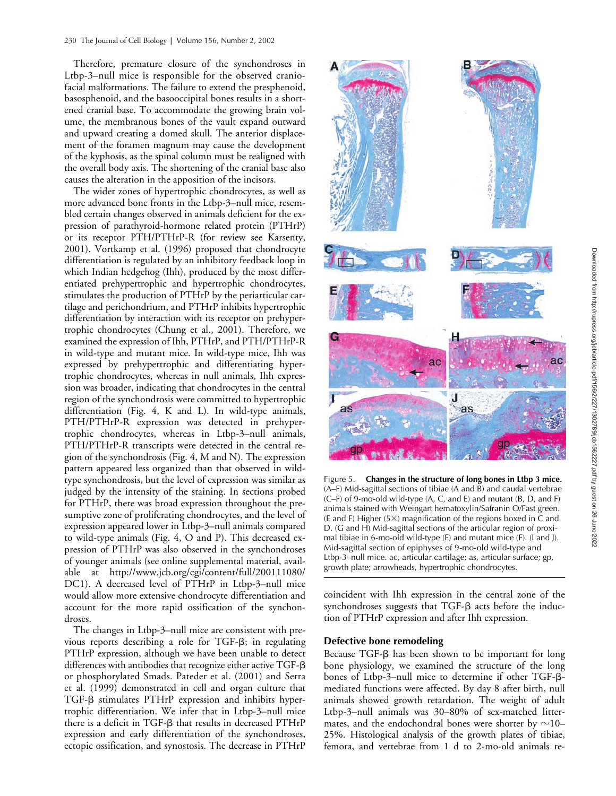Therefore, premature closure of the synchondroses in Ltbp-3–null mice is responsible for the observed craniofacial malformations. The failure to extend the presphenoid, basosphenoid, and the basooccipital bones results in a shortened cranial base. To accommodate the growing brain volume, the membranous bones of the vault expand outward and upward creating a domed skull. The anterior displacement of the foramen magnum may cause the development of the kyphosis, as the spinal column must be realigned with the overall body axis. The shortening of the cranial base also causes the alteration in the apposition of the incisors.

The wider zones of hypertrophic chondrocytes, as well as more advanced bone fronts in the Ltbp-3–null mice, resembled certain changes observed in animals deficient for the expression of parathyroid-hormone related protein (PTHrP) or its receptor PTH/PTHrP-R (for review see Karsenty, 2001). Vortkamp et al. (1996) proposed that chondrocyte differentiation is regulated by an inhibitory feedback loop in which Indian hedgehog (Ihh), produced by the most differentiated prehypertrophic and hypertrophic chondrocytes, stimulates the production of PTHrP by the periarticular cartilage and perichondrium, and PTHrP inhibits hypertrophic differentiation by interaction with its receptor on prehypertrophic chondrocytes (Chung et al., 2001). Therefore, we examined the expression of Ihh, PTHrP, and PTH/PTHrP-R in wild-type and mutant mice. In wild-type mice, Ihh was expressed by prehypertrophic and differentiating hypertrophic chondrocytes, whereas in null animals, Ihh expression was broader, indicating that chondrocytes in the central region of the synchondrosis were committed to hypertrophic differentiation (Fig. 4, K and L). In wild-type animals, PTH/PTHrP-R expression was detected in prehypertrophic chondrocytes, whereas in Ltbp-3–null animals, PTH/PTHrP-R transcripts were detected in the central region of the synchondrosis (Fig. 4, M and N). The expression pattern appeared less organized than that observed in wildtype synchondrosis, but the level of expression was similar as judged by the intensity of the staining. In sections probed for PTHrP, there was broad expression throughout the presumptive zone of proliferating chondrocytes, and the level of expression appeared lower in Ltbp-3–null animals compared to wild-type animals (Fig. 4, O and P). This decreased expression of PTHrP was also observed in the synchondroses of younger animals (see online supplemental material, available at http://www.jcb.org/cgi/content/full/200111080/ DC1). A decreased level of PTHrP in Ltbp-3–null mice would allow more extensive chondrocyte differentiation and account for the more rapid ossification of the synchondroses.

The changes in Ltbp-3–null mice are consistent with previous reports describing a role for TGF- $\beta$ ; in regulating PTHrP expression, although we have been unable to detect differences with antibodies that recognize either active TGF- $\beta$ or phosphorylated Smads. Pateder et al. (2001) and Serra et al. (1999) demonstrated in cell and organ culture that TGF- $\beta$  stimulates PTHrP expression and inhibits hypertrophic differentiation. We infer that in Ltbp-3–null mice there is a deficit in TGF- $\beta$  that results in decreased PTHrP expression and early differentiation of the synchondroses, ectopic ossification, and synostosis. The decrease in PTHrP



Figure 5. **Changes in the structure of long bones in Ltbp 3 mice.** (A–F) Mid-sagittal sections of tibiae (A and B) and caudal vertebrae  $(C-F)$  of 9-mo-old wild-type  $(A, C, and E)$  and mutant  $(B, D, and F)$ animals stained with Weingart hematoxylin/Safranin O/Fast green. (E and F) Higher (5 $\times$ ) magnification of the regions boxed in  $\bar{C}$  and D. (G and H) Mid-sagittal sections of the articular region of proximal tibiae in 6-mo-old wild-type (E) and mutant mice (F). (I and J). Mid-sagittal section of epiphyses of 9-mo-old wild-type and Ltbp-3–null mice. ac, articular cartilage; as, articular surface; gp, growth plate; arrowheads, hypertrophic chondrocytes.

coincident with Ihh expression in the central zone of the synchondroses suggests that  $TGF- $\beta$  acts before the induc$ tion of PTHrP expression and after Ihh expression.

### **Defective bone remodeling**

Because  $TGF- $\beta$  has been shown to be important for long$ bone physiology, we examined the structure of the long bones of Ltbp-3–null mice to determine if other  $TGF$ - $\beta$ mediated functions were affected. By day 8 after birth, null animals showed growth retardation. The weight of adult Ltbp-3–null animals was 30–80% of sex-matched littermates, and the endochondral bones were shorter by  $\sim$ 10– 25%. Histological analysis of the growth plates of tibiae, femora, and vertebrae from 1 d to 2-mo-old animals re-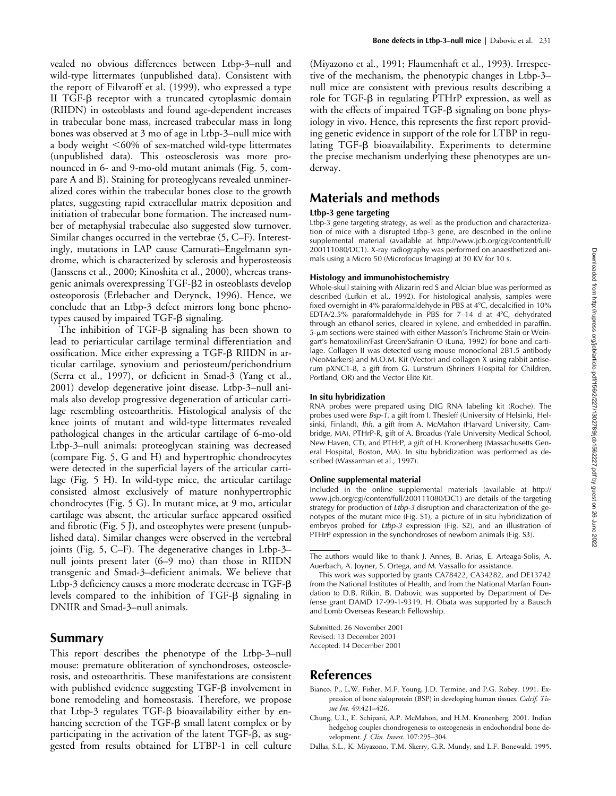vealed no obvious differences between Ltbp-3–null and wild-type littermates (unpublished data). Consistent with the report of Filvaroff et al. (1999), who expressed a type II TGF-ß receptor with a truncated cytoplasmic domain (RIIDN) in osteoblasts and found age-dependent increases in trabecular bone mass, increased trabecular mass in long bones was observed at 3 mo of age in Ltbp-3–null mice with a body weight  $\leq 60\%$  of sex-matched wild-type littermates (unpublished data). This osteosclerosis was more pronounced in 6- and 9-mo-old mutant animals (Fig. 5, compare A and B). Staining for proteoglycans revealed unmineralized cores within the trabecular bones close to the growth plates, suggesting rapid extracellular matrix deposition and initiation of trabecular bone formation. The increased number of metaphysial trabeculae also suggested slow turnover. Similar changes occurred in the vertebrae (5, C–F). Interestingly, mutations in LAP cause Camurati–Engelmann syndrome, which is characterized by sclerosis and hyperosteosis (Janssens et al., 2000; Kinoshita et al., 2000), whereas transgenic animals overexpressing TGF--2 in osteoblasts develop osteoporosis (Erlebacher and Derynck, 1996). Hence, we conclude that an Ltbp-3 defect mirrors long bone phenotypes caused by impaired TGF- $\beta$  signaling.

The inhibition of  $TGF- $\beta$  signaling has been shown to$ lead to periarticular cartilage terminal differentiation and ossification. Mice either expressing a TGF-ß RIIDN in articular cartilage, synovium and periosteum/perichondrium (Serra et al., 1997), or deficient in Smad-3 (Yang et al., 2001) develop degenerative joint disease. Ltbp-3–null animals also develop progressive degeneration of articular cartilage resembling osteoarthritis. Histological analysis of the knee joints of mutant and wild-type littermates revealed pathological changes in the articular cartilage of 6-mo-old Ltbp-3–null animals: proteoglycan staining was decreased (compare Fig. 5, G and H) and hypertrophic chondrocytes were detected in the superficial layers of the articular cartilage (Fig. 5 H). In wild-type mice, the articular cartilage consisted almost exclusively of mature nonhypertrophic chondrocytes (Fig. 5 G). In mutant mice, at 9 mo, articular cartilage was absent, the articular surface appeared ossified and fibrotic (Fig. 5 J), and osteophytes were present (unpublished data). Similar changes were observed in the vertebral joints (Fig. 5, C–F). The degenerative changes in Ltbp-3– null joints present later (6–9 mo) than those in RIIDN transgenic and Smad-3–deficient animals. We believe that Ltbp-3 deficiency causes a more moderate decrease in TGF- $\beta$ levels compared to the inhibition of  $TGF$ - $\beta$  signaling in DNIIR and Smad-3–null animals.

## **Summary**

This report describes the phenotype of the Ltbp-3–null mouse: premature obliteration of synchondroses, osteosclerosis, and osteoarthritis. These manifestations are consistent with published evidence suggesting TGF- $\beta$  involvement in bone remodeling and homeostasis. Therefore, we propose that Ltbp-3 regulates TGF- $\beta$  bioavailability either by enhancing secretion of the TGF- $\beta$  small latent complex or by participating in the activation of the latent TGF- $\beta$ , as suggested from results obtained for LTBP-1 in cell culture (Miyazono et al., 1991; Flaumenhaft et al., 1993). Irrespective of the mechanism, the phenotypic changes in Ltbp-3– null mice are consistent with previous results describing a role for TGF- $\beta$  in regulating PTHrP expression, as well as with the effects of impaired  $TGF$ - $\beta$  signaling on bone physiology in vivo. Hence, this represents the first report providing genetic evidence in support of the role for LTBP in regulating TGF-β bioavailability. Experiments to determine the precise mechanism underlying these phenotypes are underway.

# **Materials and methods**

## **Ltbp-3 gene targeting**

Ltbp-3 gene targeting strategy, as well as the production and characterization of mice with a disrupted Ltbp-3 gene, are described in the online supplemental material (available at http://www.jcb.org/cgi/content/full/ 200111080/DC1). X-ray radiography was performed on anaesthetized animals using a Micro 50 (Microfocus Imaging) at 30 KV for 10 s.

### **Histology and immunohistochemistry**

Whole-skull staining with Alizarin red S and Alcian blue was performed as described (Lufkin et al., 1992). For histological analysis, samples were fixed overnight in 4% paraformaldehyde in PBS at 4°C, decalcified in 10% EDTA/2.5% paraformaldehyde in PBS for 7–14 d at 4C, dehydrated through an ethanol series, cleared in xylene, and embedded in paraffin. 5-um sections were stained with either Masson's Trichrome Stain or Weingart's hematoxilin/Fast Green/Safranin O (Luna, 1992) for bone and cartilage. Collagen II was detected using mouse monoclonal 2B1.5 antibody (NeoMarkers) and M.O.M. Kit (Vector) and collagen X using rabbit antiserum pXNC1-8, a gift from G. Lunstrum (Shriners Hospital for Children, Portland, OR) and the Vector Elite Kit.

#### **In situ hybridization**

RNA probes were prepared using DIG RNA labeling kit (Roche). The probes used were *Bsp-1*, a gift from I. Thesleff (University of Helsinki, Helsinki, Finland), *Ihh*, a gift from A. McMahon (Harvard University, Cambridge, MA), PTHrP-R, gift of A. Broadus (Yale University Medical School, New Haven, CT), and PTHrP, a gift of H. Kronenberg (Massachusetts General Hospital, Boston, MA). In situ hybridization was performed as described (Wassarman et al., 1997).

#### **Online supplemental material**

Included in the online supplemental materials (available at http:// www.jcb.org/cgi/content/full/200111080/DC1) are details of the targeting strategy for production of *Ltbp-3* disruption and characterization of the genotypes of the mutant mice (Fig. S1), a picture of in situ hybridization of embryos probed for *Ltbp-3* expression (Fig. S2), and an illustration of PTHrP expression in the synchondroses of newborn animals (Fig. S3).

Submitted: 26 November 2001 Revised: 13 December 2001 Accepted: 14 December 2001

## **References**

- Bianco, P., L.W. Fisher, M.F. Young, J.D. Termine, and P.G. Robey. 1991. Expression of bone sialoprotein (BSP) in developing human tissues. *Calcif. Tissue Int.* 49:421–426.
- Chung, U.I., E. Schipani, A.P. McMahon, and H.M. Kronenberg. 2001. Indian hedgehog couples chondrogenesis to osteogenesis in endochondral bone development. *J. Clin. Invest.* 107:295–304.
- Dallas, S.L., K. Miyazono, T.M. Skerry, G.R. Mundy, and L.F. Bonewald. 1995.

The authors would like to thank J. Annes, B. Arias, E. Arteaga-Solis, A. Auerbach, A. Joyner, S. Ortega, and M. Vassallo for assistance.

This work was supported by grants CA78422, CA34282, and DE13742 from the National Institutes of Health, and from the National Marfan Foundation to D.B. Rifkin. B. Dabovic was supported by Department of Defense grant DAMD 17-99-1-9319. H. Obata was supported by a Bausch and Lomb Overseas Research Fellowship.